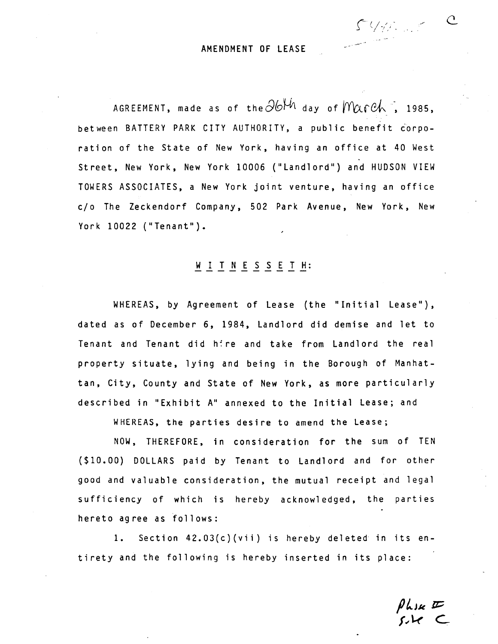AMENDMENT OF LEASE

AGREEMENT, made as of the  $\partial\phi^{\mu}$  day of  $M\alpha r c h$ , 1985, between BATTERY PARK CITY AUTHORITY, a public benefit corporation of the State of New York, having an office at 40 West Street, New York, New York 10006 ("Landlord") and HUDSON VIEW TOWERS ASSOCIATES, a New York joint venture, having an office c/o The Zeckendorf Company, 502 Park Avenue, New York, New York 10022 ("Tenant").

## WITNESSETH:

WHEREAS, by Agreement of Lease (the "Initial Lease"), dated as of December 6, 1984, Landlord did demise and let to Tenant and Tenant did hire and take from Landlord the real property situate, lying and being in the Borough of Manhattan, City, County and State of New York, as more particularly described in "Exhibit A" annexed to the Initial Lease; and

WHEREAS, the parties desire to amend the Lease;

NOW, THEREFORE, in consideration for the sum of TEN (\$10.00) DOLLARS paid by Tenant to Landlord and for other good and valuable consideration, the mutual receipt and legal sufficiency of which is hereby acknowledged, the parties hereto agree as follows:

1. Section 42.03(c)(vii) is hereby deleted in its entirety and the following is hereby inserted in its place:

 $\n *plus*  $\sqrt{}$ \n $\sqrt{}$$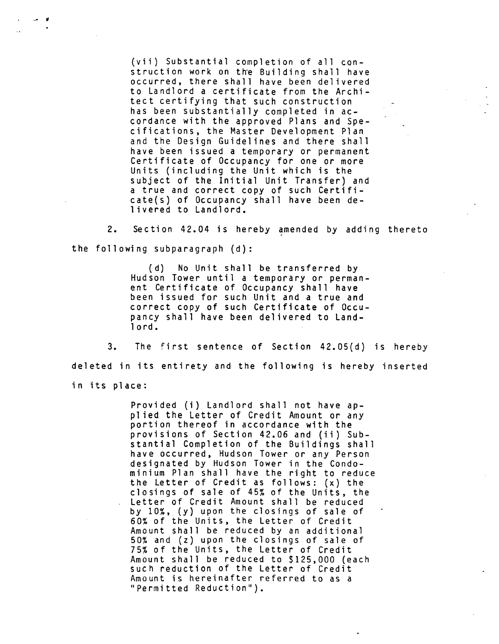(vii) Substantial completion of all construction work on the Building shall have occurred, there shall have been delivered to Landlord a certificate from the Architect certifying that such construction has been substantially completed in accordance with the approved Plans and Specifications, the Master Development Plan and the Design Guidelines and there shall have been issued a temporary or permanent Certificate of Occupancy for one or more Units (including the Unit which is the subject of the Initial Unit Transfer) and a true and correct copy of such Certifi- $\text{cate}(s)$  of Occupancy shall have been de-1 ivered to Landlord.

2. Section 42.04 is hereby amended by adding thereto the following subparagraph (d):

> (d) No Unit shall be transferred by Hudson Tower until a temporary or permanent Certificate of Occupancy shall have been issued for such Unit and a true and correct copy of such Certificate of Occupancy shall have been delivered to Landlord.

3. The first sentence of Section 42.05(d) is hereby deleted in its entirety and the following is hereby inserted in its place:

> Provided (i) Landlord shall not have applied the Letter of Credit Amount or any portion thereof in accordance with the provisions of Section 42.06 and (ii) Substantial Completion of the Buildings shall have occurred, Hudson Tower or any Person designated by Hudson Tower in the Condominium Plan shall have the right to reduce the Letter of Credit as follows: **(x)** the closings of sale of 45% of the Units, the Letter of Credit Amount shall be reduced by 10%, (y) upon the closings of sale of 60% of the Units, the Letter of Credit Amount shall be reduced by an additional 50% and **(2)** upon the closings of sale of 75% of the Units, the Letter of Credit Amount shall be reduced to \$125,000 (each such reduction of the Letter of Credit Amount is hereinafter referred to as a "Permitted Reduction").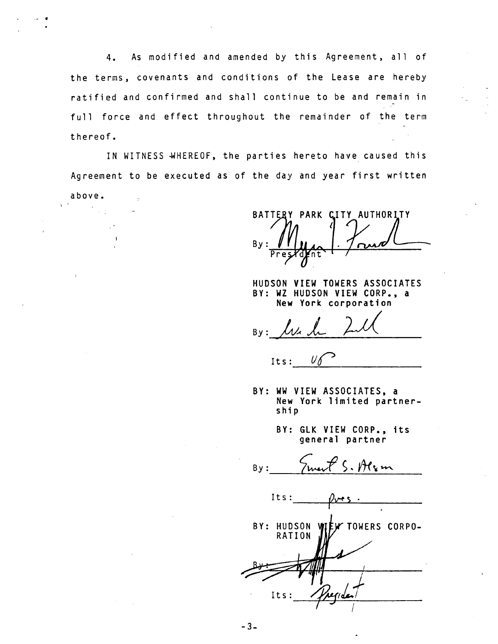4. As modified and amended by this Agreement, all of the terms, covenants and conditions of the Lease are hereby ratified and confirmed and shall continue to be and remain in full force and effect throughout the remainder of the term thereof.

IN WITNESS WHEREOF, the parties hereto have caused this Agreement to be executed as of the day and year first written

 $-3-$ 

above. \'

BATTERY PARK CITY AUTHORITY  $Bv:$ 

HUDSON VIEW TOWERS ASSOCIATES BY: WZ HUDSON VIEW CORP., a New York corporation

 $Bv:$ 

 $U$ l  $Its:$ 

- BY: WW VIEW ASSOCIATES, a New York limited partnership
	- BY: GLK VIEW CORP., its general partner

 $By:$ 

Its: BY: HUDSON WIEW TOWERS CORPO-<br>RATION MY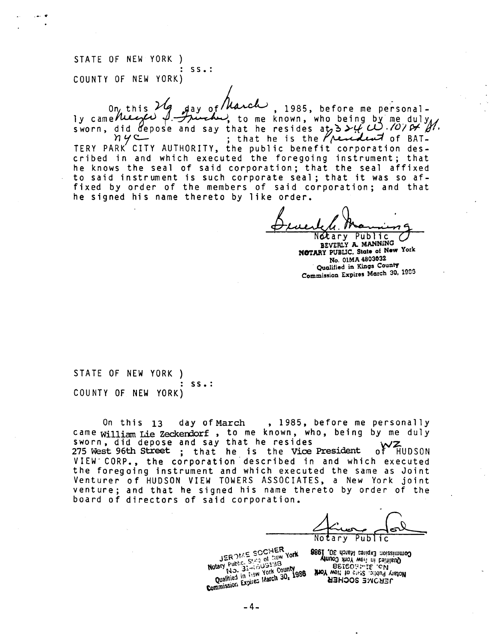STATE OF NEW YORK ) : ss.: COUNTY OF NEW YORK)

On this  $Mg$  day of  $M$  and  $M$ , 1985, before me personal-<br>ly came the extra  $\beta$ . Therefore, to me known, who being by me duly. ly came the external finite of the known, who being by me duly did depose and say that he resides at  $3 \times f$   $\omega$ .  $\omega$   $\omega$   $\pi$   $\gamma$ . ; that he is the  $\ell$  revident of BAT-TERY PARK' CITY AUTHORITY, the public benefit corporation described in and which executed the foregoing instrument; that he knows the seal of said corporation; that the seal affixed to said instrument is such corporate seal ; that it was so affixed by order of the members of said corporation; and that he signed his name thereto by like order.

 $\frac{1}{2}$ Votary Public C

**BEVERLY A MANNING N8TARY PUBLIC, State of NOW Yolk No. OlMA 4803032 ~uolified in Kings CounQ Commission Expires Mach 30, 19%** 

STATE OF NEW YORK ) : ss.: COUNTY OF NEW YORK)

On this **13** day of March , 1985, before me personally came william Lie Zeckendorf, to me known, who, being by me duly sworn, did depose and say that he resides<br>275 West 96th Street ; that he is the Vice President of HUDSON VIEW CORP., the corporation described in and which executed the foregoing instrument and which executed the same as Joint Venturer of HUDSON VIEW TOWERS ASSOCIATES, a New York joint venture; and that he signed his name thereto by order of the board of directors of said corporation.

Notary Public  $\frac{\sqrt{5}}{10}$ 

**JEROME SOCHER** Public, State 01,138<br>No. 31-4009138 Notary Public, State 013138<br>Qualitied in the York County<br>Qualitied in the York County<br>Commission Expires March 30, 1986

**8861 ,OE dataM catiqx3**  $\pi$ **UnuoO X10Y wen ni baitlisuQ<br>I .OE do1sM ca1iqx3 noiseimmo<b>O BEIGOST-IE ON ABON**<br>**BEIGOST-IE ON UZHOOS 3MCHER**